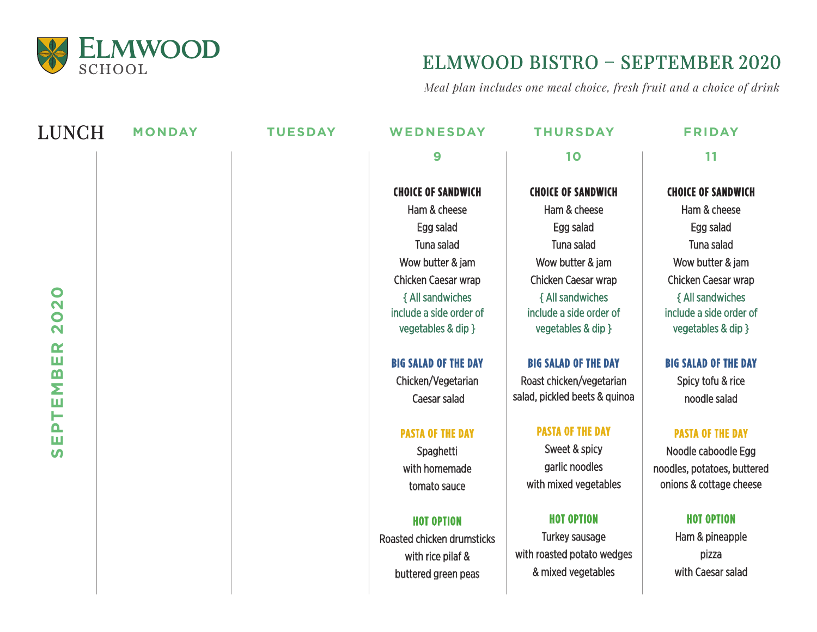

# ELMWOOD BISTRO – SEPTEMBER 2020

*Meal plan includes one meal choice, fresh fruit and a choice of drink*

| <b>LUNCH</b>                         | <b>MONDAY</b> | <b>TUESDAY</b> | WEDNESDAY                   | <b>THURSDAY</b>               | <b>FRIDAY</b>               |
|--------------------------------------|---------------|----------------|-----------------------------|-------------------------------|-----------------------------|
|                                      |               |                | 9                           | 10                            | 11                          |
|                                      |               |                | <b>CHOICE OF SANDWICH</b>   | <b>CHOICE OF SANDWICH</b>     | <b>CHOICE OF SANDWICH</b>   |
|                                      |               |                | Ham & cheese                | Ham & cheese                  | Ham & cheese                |
|                                      |               |                | Egg salad                   | Egg salad                     | Egg salad                   |
|                                      |               |                | Tuna salad                  | Tuna salad                    | Tuna salad                  |
|                                      |               |                | Wow butter & jam            | Wow butter & jam              | Wow butter & jam            |
|                                      |               |                | Chicken Caesar wrap         | Chicken Caesar wrap           | Chicken Caesar wrap         |
| $\bullet$<br>$\overline{\mathbf{N}}$ |               |                | { All sandwiches            | { All sandwiches              | { All sandwiches            |
| $\bullet$                            |               |                | include a side order of     | include a side order of       | include a side order of     |
| $\mathbf{\Omega}$                    |               |                | vegetables & dip }          | vegetables & dip }            | vegetables & dip }          |
| $\alpha$<br>Ш                        |               |                | <b>BIG SALAD OF THE DAY</b> | <b>BIG SALAD OF THE DAY</b>   | <b>BIG SALAD OF THE DAY</b> |
|                                      |               |                | Chicken/Vegetarian          | Roast chicken/vegetarian      | Spicy tofu & rice           |
| TEMB                                 |               |                | <b>Caesar salad</b>         | salad, pickled beets & quinoa | noodle salad                |
| $\Delta$<br>ш                        |               |                | <b>PASTA OF THE DAY</b>     | <b>PASTA OF THE DAY</b>       | <b>PASTA OF THE DAY</b>     |
| $\boldsymbol{\omega}$                |               |                | Spaghetti                   | Sweet & spicy                 | Noodle caboodle Egg         |
|                                      |               |                | with homemade               | garlic noodles                | noodles, potatoes, buttered |
|                                      |               |                | tomato sauce                | with mixed vegetables         | onions & cottage cheese     |
|                                      |               |                | <b>HOT OPTION</b>           | <b>HOT OPTION</b>             | <b>HOT OPTION</b>           |
|                                      |               |                | Roasted chicken drumsticks  | Turkey sausage                | Ham & pineapple             |
|                                      |               |                | with rice pilaf &           | with roasted potato wedges    | pizza                       |
|                                      |               |                | buttered green peas         | & mixed vegetables            | with Caesar salad           |
|                                      |               |                |                             |                               |                             |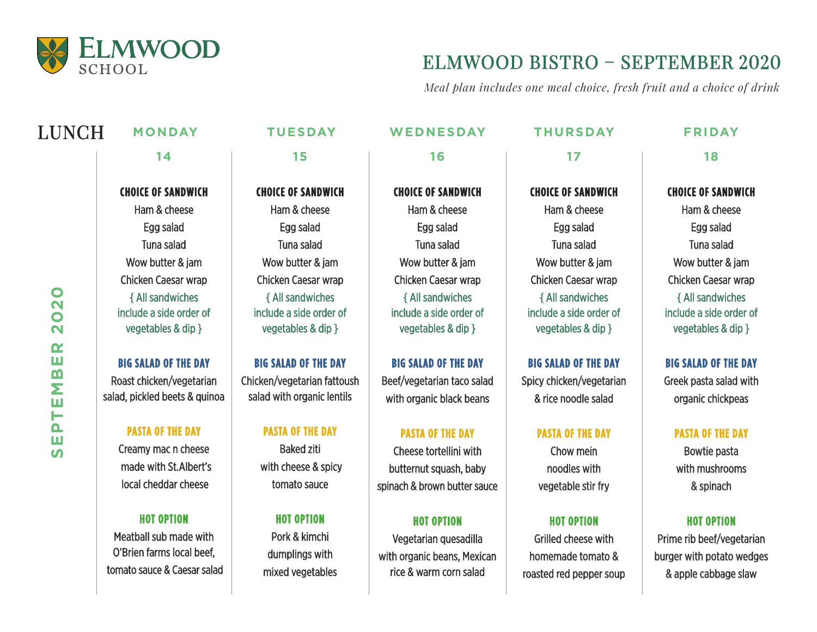

tomato sauce & Caesar salad

### ELMWOOD BISTRO – SEPTEMBER 2020

*Meal plan includes one meal choice, fresh fruit and a choice of drink*

homemade tomato & roasted red pepper soup

### LUNCH **MONDAY TUESDAY WEDNESDAY THURSDAY FRIDAY 15 14 16 17 18 CHOICE OF SANDWICH CHOICE OF SANDWICH CHOICE OF SANDWICH CHOICE OF SANDWICH CHOICE OF SANDWICH** Ham & cheese Ham & cheese Ham & cheese Ham & cheese Ham & cheese Egg salad Egg salad Egg salad Egg salad Egg salad Tuna salad Tuna salad Tuna salad Tuna salad Tuna salad Wow butter & jam Wow butter & jam Wow butter & jam Wow butter & jam Wow butter & jam Chicken Caesar wrap Chicken Caesar wrap Chicken Caesar wrap Chicken Caesar wrap Chicken Caesar wrap  $\bullet$ **SEPTEMBER 2020** { All sandwiches { All sandwiches { All sandwiches { All sandwiches { All sandwiches  $\overline{\mathbf{N}}$ include a side order of include a side order of include a side order of include a side order of include a side order of  $\bullet$ vegetables & dip } vegetables & dip } vegetables & dip } vegetables & dip } vegetables & dip }  $\overline{\mathbf{N}}$  $\alpha$ ш **BIG SALAD OF THE DAY BIG SALAD OF THE DAY BIG SALAD OF THE DAY BIG SALAD OF THE DAY BIG SALAD OF THE DAY**  $\mathbf{m}$ Roast chicken/vegetarian Chicken/vegetarian fattoush Beef/vegetarian taco salad Spicy chicken/vegetarian Greek pasta salad with Σ salad, pickled beets & quinoa salad with organic lentils & rice noodle salad organic chickpeas with organic black beans Ш Н  $\mathbf{\Omega}$ **PASTA OF THE DAY PASTA OF THE DAY PASTA OF THE DAY PASTA OF THE DAY PASTA OF THE DAY** ш Creamy mac n cheese Baked ziti Cheese tortellini with Chow mein Bowtie pasta **S**  with cheese & spicy made with St.Albert's butternut squash, baby noodles with with mushrooms local cheddar cheese tomato sauce spinach & brown butter sauce vegetable stir fry & spinach **HOT OPTION HOT OPTION HOT OPTION HOT OPTION HOT OPTION** Meatball sub made with Pork & kimchi Vegetarian quesadilla Grilled cheese with O'Brien farms local beef,

dumplings with mixed vegetables

with organic beans, Mexican rice & warm corn salad

Prime rib beef/vegetarian burger with potato wedges & apple cabbage slaw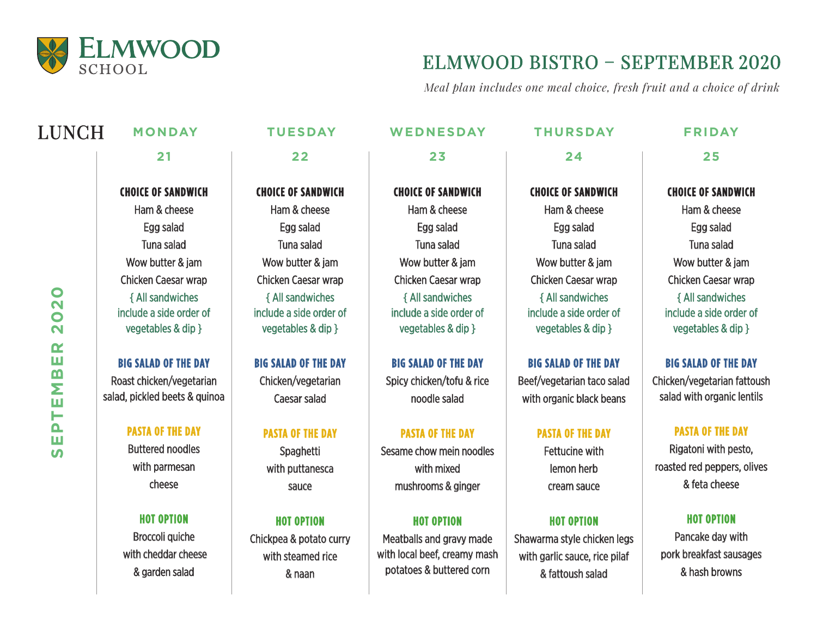

# ELMWOOD BISTRO – SEPTEMBER 2020

*Meal plan includes one meal choice, fresh fruit and a choice of drink*

| <b>LUNCH</b>                                                                                          | <b>MONDAY</b>                                                                            | <b>TUESDAY</b>                                                              | WEDNESDAY                                                                                                 | <b>THURSDAY</b>                                                                                       | <b>FRIDAY</b>                                                                            |
|-------------------------------------------------------------------------------------------------------|------------------------------------------------------------------------------------------|-----------------------------------------------------------------------------|-----------------------------------------------------------------------------------------------------------|-------------------------------------------------------------------------------------------------------|------------------------------------------------------------------------------------------|
|                                                                                                       | 21                                                                                       | 22                                                                          | 23                                                                                                        | 24                                                                                                    | 25                                                                                       |
| $\mathbf O$<br>$\mathbf{\Omega}$<br>$\bullet$<br>$\overline{\mathbf{N}}$<br>$\alpha$<br>Ш<br>EMB<br>⊢ | <b>CHOICE OF SANDWICH</b>                                                                | <b>CHOICE OF SANDWICH</b>                                                   | <b>CHOICE OF SANDWICH</b>                                                                                 | <b>CHOICE OF SANDWICH</b>                                                                             | <b>CHOICE OF SANDWICH</b>                                                                |
|                                                                                                       | Ham & cheese                                                                             | Ham & cheese                                                                | Ham & cheese                                                                                              | Ham & cheese                                                                                          | Ham & cheese                                                                             |
|                                                                                                       | Egg salad                                                                                | Egg salad                                                                   | Egg salad                                                                                                 | Egg salad                                                                                             | Egg salad                                                                                |
|                                                                                                       | Tuna salad                                                                               | Tuna salad                                                                  | <b>Tuna salad</b>                                                                                         | Tuna salad                                                                                            | Tuna salad                                                                               |
|                                                                                                       | Wow butter & jam                                                                         | Wow butter & jam                                                            | Wow butter & jam                                                                                          | Wow butter & jam                                                                                      | Wow butter & jam                                                                         |
|                                                                                                       | Chicken Caesar wrap                                                                      | <b>Chicken Caesar wrap</b>                                                  | <b>Chicken Caesar wrap</b>                                                                                | <b>Chicken Caesar wrap</b>                                                                            | <b>Chicken Caesar wrap</b>                                                               |
|                                                                                                       | { All sandwiches<br>include a side order of<br>vegetables & dip }                        | { All sandwiches<br>include a side order of<br>vegetables & dip }           | { All sandwiches<br>include a side order of<br>vegetables & dip }                                         | { All sandwiches<br>include a side order of<br>vegetables & dip }                                     | { All sandwiches<br>include a side order of<br>vegetables & dip }                        |
|                                                                                                       | <b>BIG SALAD OF THE DAY</b><br>Roast chicken/vegetarian<br>salad, pickled beets & quinoa | <b>BIG SALAD OF THE DAY</b><br>Chicken/vegetarian<br><b>Caesar salad</b>    | <b>BIG SALAD OF THE DAY</b><br>Spicy chicken/tofu & rice<br>noodle salad                                  | <b>BIG SALAD OF THE DAY</b><br>Beef/vegetarian taco salad<br>with organic black beans                 | <b>BIG SALAD OF THE DAY</b><br>Chicken/vegetarian fattoush<br>salad with organic lentils |
| $\mathbf{\Omega}$                                                                                     | <b>PASTA OF THE DAY</b>                                                                  | <b>PASTA OF THE DAY</b>                                                     | <b>PASTA OF THE DAY</b>                                                                                   | <b>PASTA OF THE DAY</b>                                                                               | <b>PASTA OF THE DAY</b>                                                                  |
| Ш<br><b>S</b>                                                                                         | <b>Buttered noodles</b>                                                                  | Spaghetti                                                                   | Sesame chow mein noodles                                                                                  | <b>Fettucine with</b>                                                                                 | Rigatoni with pesto,                                                                     |
|                                                                                                       | with parmesan<br>cheese                                                                  | with puttanesca<br>sauce                                                    | with mixed<br>mushrooms & ginger                                                                          | lemon herb<br>cream sauce                                                                             | roasted red peppers, olives<br>& feta cheese                                             |
|                                                                                                       | <b>HOT OPTION</b><br>Broccoli quiche<br>with cheddar cheese<br>& garden salad            | <b>HOT OPTION</b><br>Chickpea & potato curry<br>with steamed rice<br>& naan | <b>HOT OPTION</b><br>Meatballs and gravy made<br>with local beef, creamy mash<br>potatoes & buttered corn | <b>HOT OPTION</b><br>Shawarma style chicken legs<br>with garlic sauce, rice pilaf<br>& fattoush salad | <b>HOT OPTION</b><br>Pancake day with<br>pork breakfast sausages<br>& hash browns        |